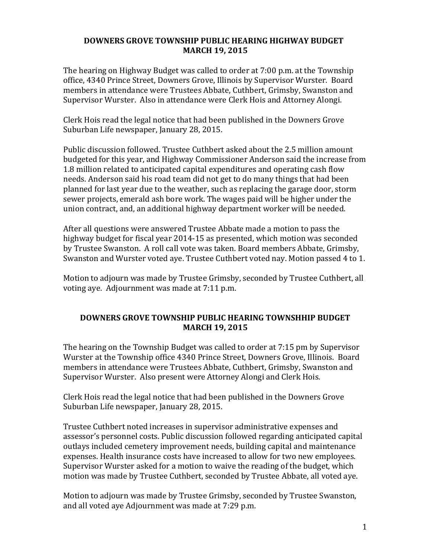## **DOWNERS GROVE TOWNSHIP PUBLIC HEARING HIGHWAY BUDGET MARCH 19, 2015**

The hearing on Highway Budget was called to order at 7:00 p.m. at the Township office, 4340 Prince Street, Downers Grove, Illinois by Supervisor Wurster. Board members in attendance were Trustees Abbate, Cuthbert, Grimsby, Swanston and Supervisor Wurster. Also in attendance were Clerk Hois and Attorney Alongi.

Clerk Hois read the legal notice that had been published in the Downers Grove Suburban Life newspaper, January 28, 2015.

Public discussion followed. Trustee Cuthbert asked about the 2.5 million amount budgeted for this year, and Highway Commissioner Anderson said the increase from 1.8 million related to anticipated capital expenditures and operating cash flow needs. Anderson said his road team did not get to do many things that had been planned for last year due to the weather, such as replacing the garage door, storm sewer projects, emerald ash bore work. The wages paid will be higher under the union contract, and, an additional highway department worker will be needed.

After all questions were answered Trustee Abbate made a motion to pass the highway budget for fiscal year 2014-15 as presented, which motion was seconded by Trustee Swanston. A roll call vote was taken. Board members Abbate, Grimsby, Swanston and Wurster voted aye. Trustee Cuthbert voted nay. Motion passed 4 to 1.

Motion to adjourn was made by Trustee Grimsby, seconded by Trustee Cuthbert, all voting aye. Adjournment was made at 7:11 p.m.

## **DOWNERS GROVE TOWNSHIP PUBLIC HEARING TOWNSHHIP BUDGET MARCH 19, 2015**

The hearing on the Township Budget was called to order at  $7:15$  pm by Supervisor Wurster at the Township office 4340 Prince Street, Downers Grove, Illinois. Board members in attendance were Trustees Abbate, Cuthbert, Grimsby, Swanston and Supervisor Wurster. Also present were Attorney Alongi and Clerk Hois.

Clerk Hois read the legal notice that had been published in the Downers Grove Suburban Life newspaper, January 28, 2015.

Trustee Cuthbert noted increases in supervisor administrative expenses and assessor's personnel costs. Public discussion followed regarding anticipated capital outlays included cemetery improvement needs, building capital and maintenance expenses. Health insurance costs have increased to allow for two new employees. Supervisor Wurster asked for a motion to waive the reading of the budget, which motion was made by Trustee Cuthbert, seconded by Trustee Abbate, all voted aye.

Motion to adjourn was made by Trustee Grimsby, seconded by Trustee Swanston, and all voted aye Adjournment was made at 7:29 p.m.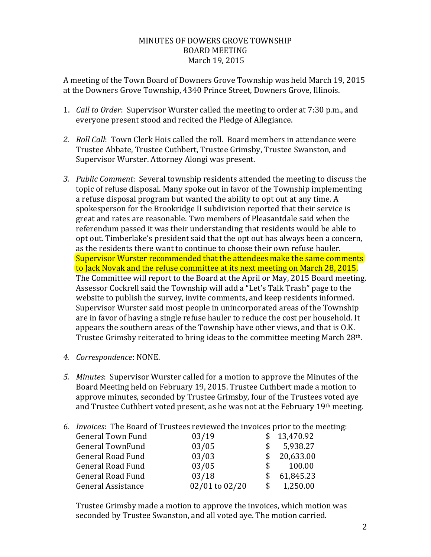## MINUTES OF DOWERS GROVE TOWNSHIP BOARD!MEETING March 19, 2015

A meeting of the Town Board of Downers Grove Township was held March 19, 2015 at the Downers Grove Township, 4340 Prince Street, Downers Grove, Illinois.

- 1. *Call to Order*: Supervisor Wurster called the meeting to order at 7:30 p.m., and everyone present stood and recited the Pledge of Allegiance.
- 2. *Roll Call:* Town Clerk Hois called the roll. Board members in attendance were Trustee Abbate, Trustee Cuthbert, Trustee Grimsby, Trustee Swanston, and Supervisor Wurster. Attorney Alongi was present.
- 3. Public Comment: Several township residents attended the meeting to discuss the topic of refuse disposal. Many spoke out in favor of the Township implementing a refuse disposal program but wanted the ability to opt out at any time. A spokesperson for the Brookridge II subdivision reported that their service is great and rates are reasonable. Two members of Pleasantdale said when the referendum passed it was their understanding that residents would be able to opt out. Timberlake's president said that the opt out has always been a concern, as the residents there want to continue to choose their own refuse hauler. Supervisor Wurster recommended that the attendees make the same comments to Jack Novak and the refuse committee at its next meeting on March 28, 2015. The Committee will report to the Board at the April or May, 2015 Board meeting. Assessor Cockrell said the Township will add a "Let's Talk Trash" page to the website to publish the survey, invite comments, and keep residents informed. Supervisor Wurster said most people in unincorporated areas of the Township are in favor of having a single refuse hauler to reduce the cost per household. It appears the southern areas of the Township have other views, and that is O.K. Trustee Grimsby reiterated to bring ideas to the committee meeting March 28<sup>th</sup>.
- 4. Correspondence: NONE.
- *5. Minutes*: Supervisor Wurster called for a motion to approve the Minutes of the Board Meeting held on February 19, 2015. Trustee Cuthbert made a motion to approve minutes, seconded by Trustee Grimsby, four of the Trustees voted aye and Trustee Cuthbert voted present, as he was not at the February 19th meeting.

6. *Invoices*: The Board of Trustees reviewed the invoices prior to the meeting:

| <b>General Town Fund</b> | 03/19          |     | \$13,470.92 |
|--------------------------|----------------|-----|-------------|
| <b>General TownFund</b>  | 03/05          |     | 5,938.27    |
| <b>General Road Fund</b> | 03/03          |     | 20,633.00   |
| <b>General Road Fund</b> | 03/05          | \$. | 100.00      |
| <b>General Road Fund</b> | 03/18          |     | 61,845.23   |
| General Assistance       | 02/01 to 02/20 | S.  | 1,250.00    |

Trustee Grimsby made a motion to approve the invoices, which motion was seconded by Trustee Swanston, and all voted aye. The motion carried.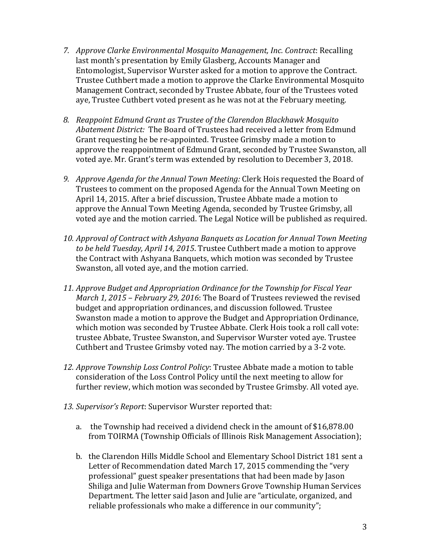- 7. *Approve Clarke Environmental Mosquito Management, Inc. Contract: Recalling* last month's presentation by Emily Glasberg, Accounts Manager and Entomologist, Supervisor Wurster asked for a motion to approve the Contract. Trustee Cuthbert made a motion to approve the Clarke Environmental Mosquito Management Contract, seconded by Trustee Abbate, four of the Trustees voted aye, Trustee Cuthbert voted present as he was not at the February meeting.
- 8. Reappoint Edmund Grant as Trustee of the Clarendon Blackhawk Mosquito Abatement District: The Board of Trustees had received a letter from Edmund Grant requesting he be re-appointed. Trustee Grimsby made a motion to approve the reappointment of Edmund Grant, seconded by Trustee Swanston, all voted aye. Mr. Grant's term was extended by resolution to December 3, 2018.
- 9. *Approve Agenda for the Annual Town Meeting:* Clerk Hois requested the Board of Trustees to comment on the proposed Agenda for the Annual Town Meeting on April 14, 2015. After a brief discussion, Trustee Abbate made a motion to approve the Annual Town Meeting Agenda, seconded by Trustee Grimsby, all voted aye and the motion carried. The Legal Notice will be published as required.
- 10. *Approval of Contract with Ashyana Banquets as Location for Annual Town Meeting* to be held Tuesday, April 14, 2015. Trustee Cuthbert made a motion to approve the Contract with Ashyana Banquets, which motion was seconded by Trustee Swanston, all voted aye, and the motion carried.
- 11. *Approve Budget and Appropriation Ordinance for the Township for Fiscal Year March 1, 2015 – February 29, 2016*: The Board of Trustees reviewed the revised budget and appropriation ordinances, and discussion followed. Trustee Swanston made a motion to approve the Budget and Appropriation Ordinance, which motion was seconded by Trustee Abbate. Clerk Hois took a roll call vote: trustee Abbate, Trustee Swanston, and Supervisor Wurster voted aye. Trustee Cuthbert and Trustee Grimsby voted nay. The motion carried by a 3-2 vote.
- 12. *Approve Township Loss Control Policy*: Trustee Abbate made a motion to table consideration of the Loss Control Policy until the next meeting to allow for further review, which motion was seconded by Trustee Grimsby. All voted aye.
- 13. Supervisor's Report: Supervisor Wurster reported that:
	- a. the Township had received a dividend check in the amount of  $$16,878.00$ from TOIRMA (Township Officials of Illinois Risk Management Association);
	- b. the Clarendon Hills Middle School and Elementary School District 181 sent a Letter of Recommendation dated March 17, 2015 commending the "very" professional" guest speaker presentations that had been made by Jason Shiliga and Julie Waterman from Downers Grove Township Human Services Department. The letter said Jason and Julie are "articulate, organized, and reliable professionals who make a difference in our community";